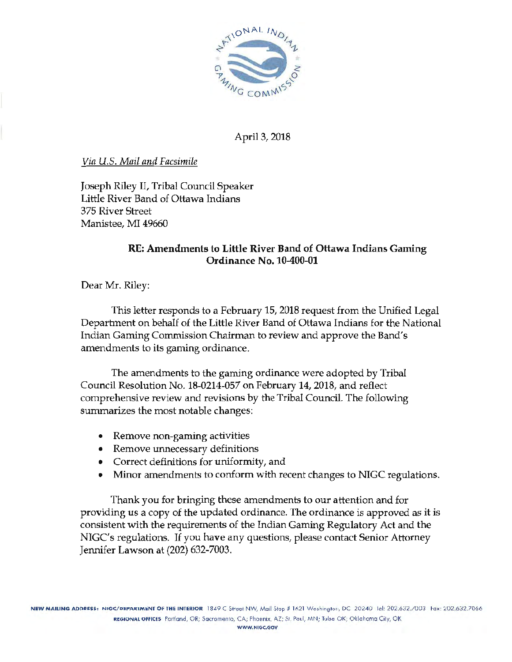

April 3, 2018

*Via U.S. Mail and Facsimile* 

Joseph Riley II, Tribal Council Speaker Little River Band of Ottawa Indians 375 River Street Manistee, MI 49660

# RE: Amendments to Little River Band of Ottawa Indians Gaming Ordinance No.10-400-01

Dear Mr. Riley:

This letter responds to a February 15, 2018 request from the Unified Legal Department on behalf of the Little River Band of Ottawa Indians for the National Indian Gaming Commission Chairman to review and approve the Band's amendments to its gaming ordinance.

The amendments to the gaming ordinance were adopted by Tribal Council Resolution No. 18-0214-057 on February 14, 2018, and reflect comprehensive review and revisions by the Tribal Council. The following summarizes the most notable changes:

- Remove non-gaming activities
- Remove unnecessary definitions
- Correct definitions for uniformity, and
- Minor amendments to conform with recent changes to NIGC regulations.

Thank you for bringing these amendments to our attention and for providing us a copy of the updated ordinance. The ordinance is approved as it is consistent with the requirements of the Indian Gaming Regulatory Act and the NIGC's regulations. If you have any questions, please contact Senior Attorney Jennifer Lawson at (202) 632-7003.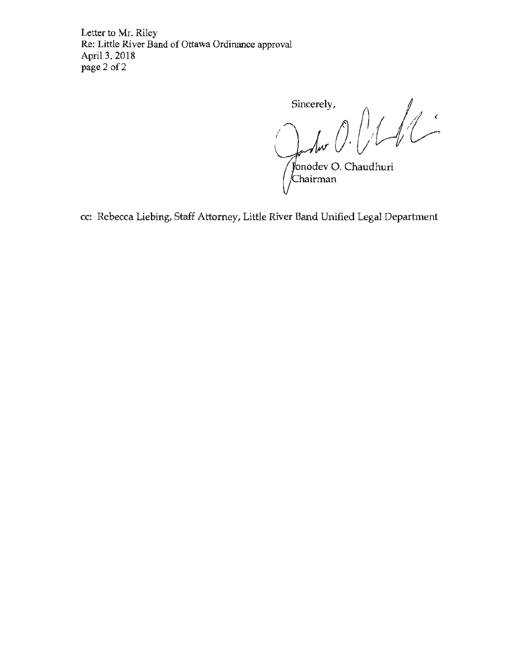Letter to Mr. Riley Re: Little River Band of Ottawa Ordinance approval April 3, 2018 page 2 of 2

Sincerely, sincerely,<br> $\int_{\mathcal{V}}$  for  $\left( \int_{\mathcal{V}} \int_{\mathcal{V}} \int_{\mathcal{V}} \int_{\mathcal{V}}$ Jonodev O. Chaudhuri<br>⁄Chairman

cc: Rebecca Liebing, Staff Attorney, Little River Band Unified Legal Department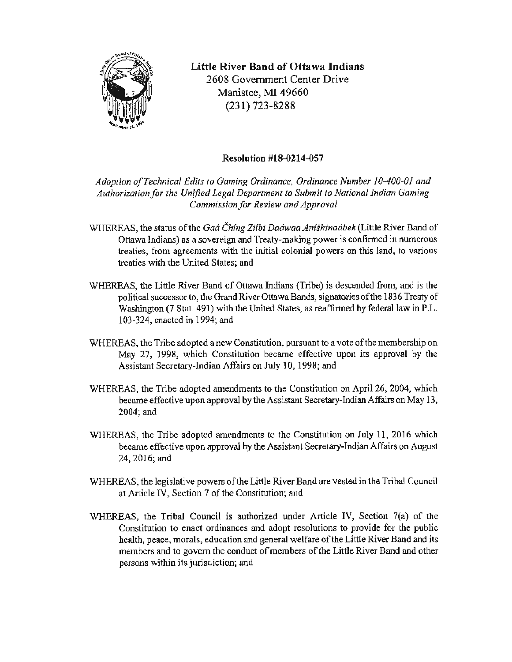

Little River Band of Ottawa Indians 2608 Government Center Drive Manistee, *MI* 49660 (231) 723-8288

## Resolution #18-0214-057

*Adoption ofTechnical Edits to Gaming Ordinance, Ordinance Number 10-400-01 and Authorization for the Unified Legal Department to Submit to National Indian Gaming Commission for Review and Approval* 

- WHEREAS, the status of the Gaa Ching Zijbi Daawaa Anishinaabek (Little River Band of Ottawa lndians) as a sovereign and Treaty-making power is confinned in numerous treaties, from agreements with the initial colonial powers on this land, to various treaties with the United States; and
- WHEREAS, the Little River Band of Ottawa Indians (Tribe) is descended from, and is the political successor to, the Grand River Ottawa Bands, signatories of the 1836 Treaty of Washington (7 Stat. 491) with the United States, as reaffirmed by federal law in P.L. 103-324, enacted in 1994; and
- WHEREAS, the Tribe adopted a new Constitution, pursuant to a vote of the membership on May 27, 1998, which Constitution became effective upon its approval by the Assistant Secretary-Indian Affairs on July 10, 1998; and
- WHEREAS, the Tribe adopted amendments to the Constitution on April 26, 2004, which became effective upon approval by the Assistant Secretary-Indian Affairs on May 13, 2004;and
- WHEREAS, the Tribe adopted amendments to the Constitution on July 11, 2016 which became effective upon approval by the Assistant Secretary-Indian Affairs on August 24,2016;and
- WHEREAS, the legislative powers of the Little River Band are vested in the Tribal Council at Article IV, Section 7 of the Constitution; and
- WHEREAS, the Tribal Council is authorized under Article JV, Section 7(a) of the Constitution to enact ordinances and adopt resolutions to provide for the public health, peace, morals, education and general welfare of the Little River Band and its members and to govern the conduct of members of the Little River Band and other persons within its jurisdiction; and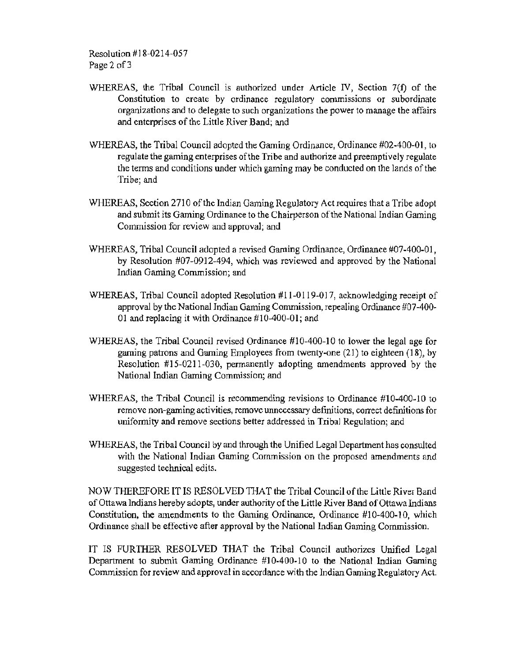Resolution #18-0214-057 Page 2 of 3

- WHEREAS, the Tribal Council is authorized under Article IV, Section 7(f) of the Constitution to create by ordinance regulatory commissions or subordinate organizations and to delegate to such organizations the power to manage the affairs and enterprises of the Little River Band; and
- WHEREAS, the Tribal Council adopted the Gaming Ordinance, Ordinance #02-400-01, to regulate the gaming enterprises of the Tribe and authorize and preemptively regulate the terms and conditions under which gaming may be conducted on the lands of the Tribe; and
- WHEREAS, Section 2710 of the Indian Gaming Regulatory Act requires that a Tribe adopt and submit its Gaming Ordinance to the Chairperson of the National Indian Gaming Commission for review and approval; and
- WHEREAS, Tribal Council adopted a revised Gaming Ordinance, Ordinance #07-400-01, by Resolution #07-0912-494, which was reviewed and approved by the National lndian Gaming Commission; and
- WHEREAS, Tribal Council adopted Resolution #11-0119-017, acknowledging receipt of approval by the National Indian Gaming Commission, repealing Ordinance #07-400- 01 and replacing it with Ordinance #10-400-01; and
- WHEREAS, the Tribal Council revised Ordinance #10-400-10 to lower the legal age for gaming patrons and Gaming Employees from twenty-one (21) to eighteen (18), by Resolution #15-0211-030, permanently adopting amendments approved by the National Indian Gaming Commission; and
- WHEREAS, the Tribal Council is recommending revisions to Ordinance #10-400-10 to remove non-gaming activities, remove wmecessary definitions, correct definitions for uniformity and remove sections better addressed in Tribal Regulation; and
- WHEREAS, the Tribal Council by and through the Unified Legal Department has consulted with the National Indian Gaming Commission on the proposed amendments and suggested technical edits.

NOW THEREFORE IT IS RESOLVED THAT the Tribal Council of the Little River Band of Ottawa Indians hereby adopts, under authority of the Little River Band of Ottawa Indians Constitution, the amendments to the Gaming Ordinance, Ordinance #10-400-10, which Ordinance shall be effective after approval by the National Indian Gaming Commission.

IT IS FURTHER RESOLVED THAT the Tribal Council authorizes Unified Legal Department to submit Gaming Ordinance #10-400-10 to the National Indian Gaming Commission for review and approval in accordance with the Indian Gaming Regulatory Act.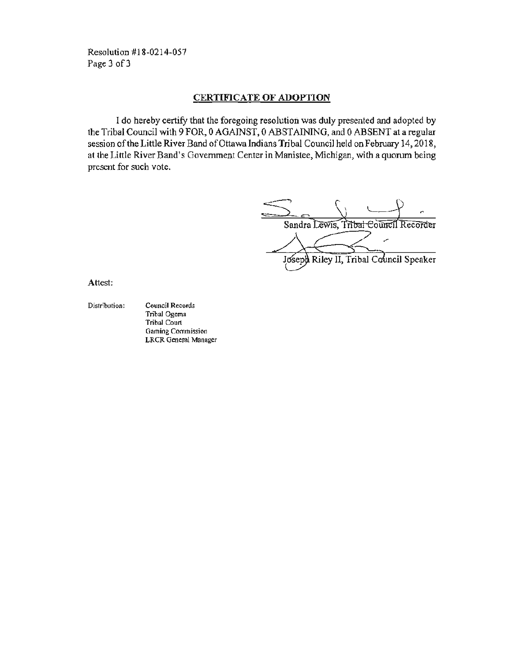Resolution #18-0214-057 Page 3 of 3

## CERTIFICATE OF ADOPTION

I do hereby certify that the foregoing resolution was duly presented and adopted by the Tribal Council with 9 FOR, 0 AGAINST, 0 ABSTAINING, and 0 ABSENT at a regular session of the Little River Band of Ottawa Indians Tribal Council held on February 14, 2018, at the Little River Band's Government Center in Manistee, Michigan, with a quorum being present for such vote.

Sandra Lewis, Tribal Council Recorder

Joseph Riley II, Tribal Council Speaker

Attest:

Distribution: Council Records Tribal Ogema Tribal Court Gaming Commission LRCR General Manager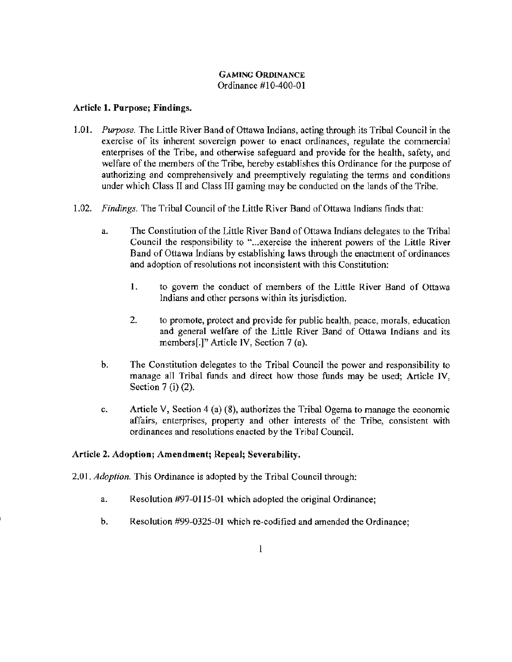## GAMING ORDINANCE Ordinance #10-400-01

## Article 1. Purpose; Findings.

- 1.0 I. *Purpose.* The Little River Band of Ottawa Indians, acting through its Tribal Council in the exercise of its inherent sovereign power to enact ordinances, regulate the commercial enterprises of the Tribe, and otherwise safeguard and provide for the health, safety, and welfare of the members of the Tribe, hereby establishes this Ordinance for the purpose of authorizing and comprehensively and preemptively regulating the terms and conditions under which Class II and Class III gaming may be conducted on the lands of the Tribe.
- 1.02. *Findings.* The Tribal Council of the Little River Band of Ottawa Indians finds that:
	- a. The Constitution of the Little River Band of Ottawa Indians delegates to the Tribal Council the responsibility to "... exercise the inherent powers of the Little River Band of Ottawa Indians by establishing laws through the enactment of ordinances and adoption of resolutions not inconsistent with this Constitution:
		- 1. to govern the conduct of members of the Little River Band of Ottawa Indians and other persons within its jurisdiction.
		- 2. to promote, protect and provide for public health, peace, morals, education and general welfare of the Little River Band of Ottawa Indians and its members[.]" Article IV, Section 7 (a).
	- b. The Constitution delegates to the Tribal Council the power and responsibility to manage all Tribal funds and direct how those funds may be used: Article IV, Section 7 (i) (2).
	- c. Article V, Section 4 (a) (8), authorizes the Tribal Ogema to manage the economic affairs, enterprises, property and other interests of the Tribe, consistent with ordinances and resolutions enacted by the Tribal Council.

## Article 2. Adoption; Amendment; Repeal; Severability.

2.01. *Adoption.* This Ordinance is adopted by the Tribal Council through:

- a. Resolution #97-0115-01 which adopted the original Ordinance;
- b. Resolution #99-0325-01 which re-codified and amended the Ordinance;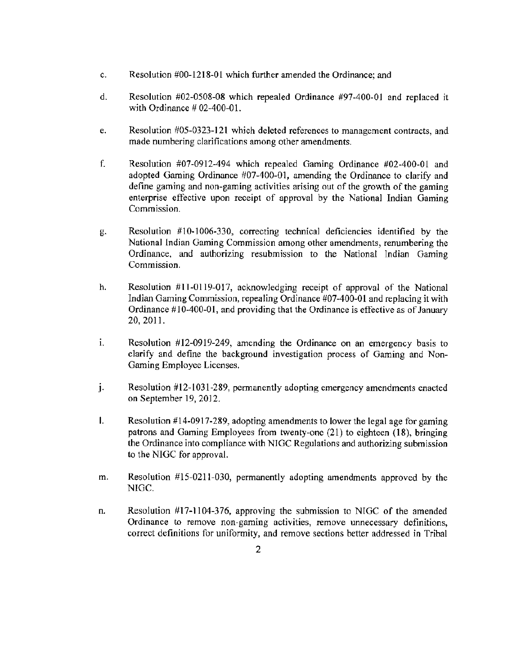- c. Resolution #00-1218-01 which further amended the Ordinance; and
- d. Resolution #02-0508-08 which repealed Ordinance #97-400-01 and replaced it with Ordinance # 02-400-01.
- e. Resolution #05-0323-121 which deleted references to management contracts, and made numbering clarifications among other amendments.
- f. Resolution #07-0912-494 which repealed Gaming Ordinance #02-400-01 and adopted Gaming Ordinance #07-400-01, amending the Ordinance to clarify and define gaming and non-gaming activities arising out of the growth of the gaming enterprise effective upon receipt of approval by the National Indian Gaming Commission.
- g. Resolution #10-1006-330, correcting technical deficiencies identified by the National Indian Gaming Commission among other amendments, renumbering the Ordinance, and authorizing resubmission to the National Indian Gaming Commission.
- h. Resolution #11-0119-017, acknowledging receipt of approval of the National Indian Gaming Commission, repealing Ordinance #07-400-01 and replacing it with Ordinance  $\#10-400-01$ , and providing that the Ordinance is effective as of January 20, 2011.
- 1. Resolution #12-0919-249, amending the Ordinance on an emergency basis to clarify and define the background investigation process of Gaming and Non-Gaming Employee Licenses.
- J. Resolution #12-1031-289, permanently adopting emergency amendments enacted on September 19, 2012.
- I. Resolution  $#14-0917-289$ , adopting amendments to lower the legal age for gaming patrons and Gaming Employees from twenty-one  $(21)$  to eighteen  $(18)$ , bringing the Ordinance into compliance with NIGC Regulations and authorizing submission to the NIGC for approval.
- m. Resolution #15-0211-030, permanently adopting amendments approved by the NIGC.
- n. Resolution #17-1104-376) approving the submission to NIGC of the amended Ordinance to remove non-gaming activities, remove unnecessary definitions. correct definitions for unifonnity, and remove sections better addressed in Tribal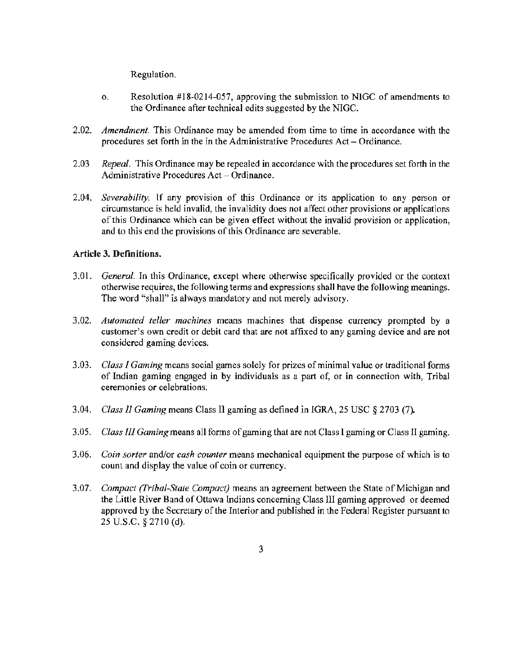Regulation.

- o. Resolution #18-0214-057, approving the submission to NIGC of amendments to the Ordinance after technical edits suggested by the NIGC.
- 2.02. *Amendment.* This Ordinance may be amended from time to time in accordance with the procedures set forth in the in the Administrative Procedures Act – Ordinance.
- 2.03 *Repeal.* This Ordinance may be repealed in accordance with the procedures set forth in the Administrative Procedures  $Act - Ordinance$ .
- 2.04. *Severability.* If any provision of this Ordinance or its application to any person or circumstance is held invalid, the invalidity does not affect other provisions or applications of this Ordinance which can be given effect without the invalid provision or application, and to this end the provisions of this Ordinance are severable.

## Article 3. Definitions.

- 3.01. *General.* In this Ordinance, except where otherwise specificaJly provided or the context otherwise requires, the following terms and expressions shall have the following meanings. The word "shall" is always mandatory and not merely advisory.
- 3.02. *Automated teller machines* means machines that dispense currency prompted by a customer's own credit or debit card that are not affixed to any gaming device and are not considered gaming devices.
- 3.03. *Class I Gaming* means social games solely for prizes of minimal value or traditional forms of Indian gaming engaged in by individuals as a part of, or in connection with, Tribal ceremonies or celebrations.
- 3.04. *Class* JI *Gaming* means Class 11 gaming as defined in IGRA, 25 USC *§* 2703 (7).
- 3.05. *Class III Gaming* means all fonns of gaming that are not Class l gaming or Class II gaming.
- 3.06. *Coin sorter* and/or *cash counter* means mechanical equipment the purpose of which is to count and display the value of coin or currency.
- 3.07. *Compact (Tribal-State Compact)* means an agreement between the State of Michigan and the Little River Band of Ottawa Indians concerning Class III gaming approved or deemed approved by the Secretary of the Interior and published in the Federal Register pursuant to 25 u.s.c. *§* 2710 (d).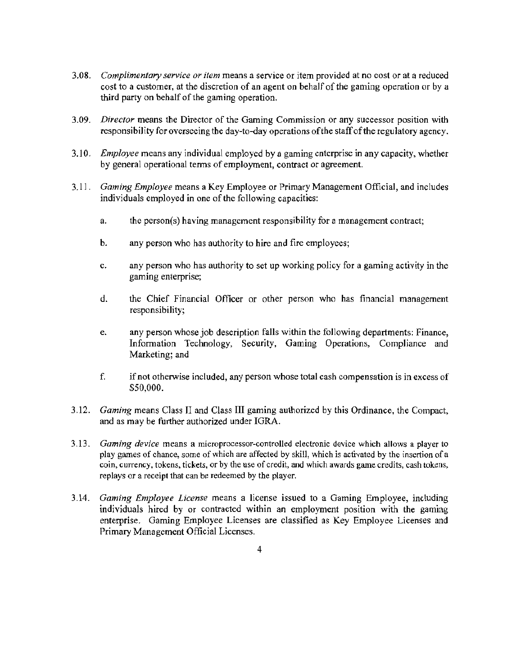- 3.08. *Complimentary service or item* means a service or item provided at no cost or at a reduced cost to a customer, at the discretion of an agent on behalf of the gaming operation or by a third party on behalf of the gaming operation.
- 3.09. *Director* means the Director of the Gaming Commission or any successor position with responsibility for overseeing the day-to-day operations of the staff of the regulatory agency.
- 3.10. *Employee* means any individual employed by a gaming enterprise in any capacity, whether by general operational terms of employment, contract or agreement.
- 3.11. *Gaming Employee* means a Key Employee or Primary Management Official, and includes individuals employed in one of the fo11owing capacities:
	- a. the person(s) having management responsibility for a management contract;
	- b. any person who has authority to hire and fire employees;
	- c. any person who has authority to set up working policy for a gaming activity in the gaming enterprise;
	- d. the Chief Financial Officer or other person who has financial management responsibility;
	- e. any person whose job description falls within the following departments: Finance, Information Technology, Security, Gaming Operations, Compliance and Marketing; and
	- f. if not otherwise included, any person whose total cash compensation is in excess of \$50,000.
- 3.12. *Gaming* means Class II and Class III gaming authorized by this Ordinance, the Compact, and as may be further authorized under IGRA.
- 3.13. *Gaming device* means a microprocessor-controlled electronic device which allows a player to play games of chance, some of which are affected by skill, which is activated by the insertion of a coin, currency, tokens, tickets, or by the use of credit, and which awards game credits, cash tokens, replays or a receipt that can be redeemed by the player.
- 3.14. *Gaming Employee License* means a license issued to a Gaming Employee, including individuals hired by or contracted within an employment position with the gaming enterprise. Gaming Employee Licenses are classified as Key Employee Licenses and Primary Management Official Licenses.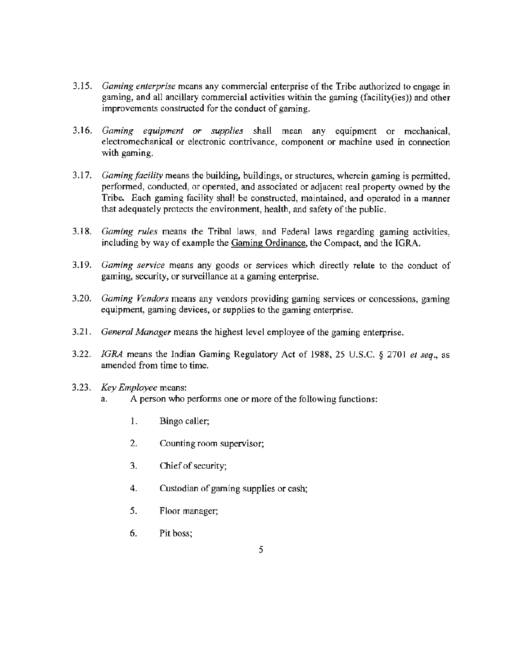- 3.15. *Gaming enterprise* means any commerciaJ enterprise of the Tribe authorized to engage in gaming, and all ancillary commercial activities within the gaming (facility(ies)) and other improvements constructed for the conduct of gaming.
- 3.16. *Gaming equipment or supplies* shall mean any equipment or mechanical, electromechanical or electronic contrivance, component or machine used in connection with gaming.
- 3.17. *Gaming facility* means the building, buildings, or structures, wherein gaming is permitted, performed, conducted, or operated, and associated or adjacent real property owned by the Tribe. Each gaming facility shall be constructed, maintained, and operated in a manner that adequately protects the environment, health, and safety of the public.
- 3.18. *Gaming rules* means the Tribal laws, and Federal laws regarding gaming activities, including by way of example the Gaming Ordinance, the Compact, and the IGRA.
- 3.19. *Gaming service* means any goods or services which directly relate to the conduct of gaming, security, or surveillance at a gaming enterprise.
- 3.20. *Gaming Vendors* means any vendors providing gaming services or concessions, gaming equipment, gaming devices, or supplies to the gaming enterprise.
- 3.21. *General Manager* means the highest level employee of the gaming enterprise.
- 3.22. JGRA means the Indian Gaming Regulatory Act of 1988, 25 U.S.C. *§* 2701 *el seq.,* as amended from time to time.
- 3.23. *Key Employee* means:
	- a. A person who performs one or more of the following functions:
		- 1. Bingo caller;
		- 2. Counting room supervisor;
		- 3. Chief of security;
		- 4. Custodian of gaming supplies or cash;
		- *5.* Floor manager;
		- 6. Pit boss;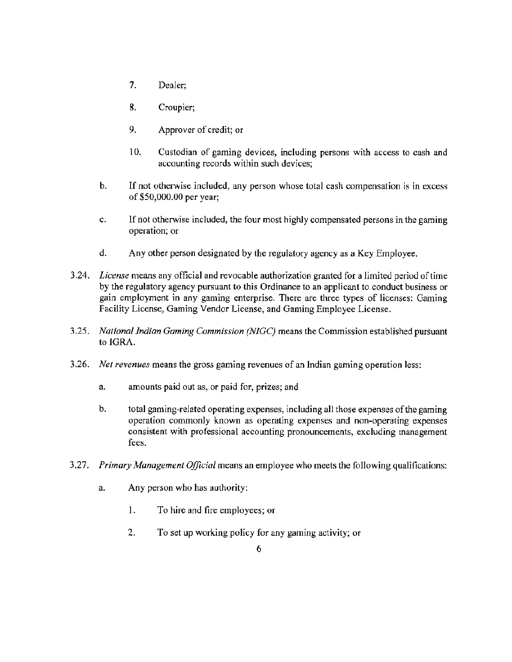- 7. Dealer;
- 8. Croupier;
- 9. Approver of credit; or
- 10. Custodian of gaming devices, including persons with access to cash and accounting records within such devices;
- b. If not otherwise included, any person whose total cash compensation is in excess of \$50,000.00 per year;
- c. If not otherwise included, the four most highly compensated persons in the gaming operation; or
- d. Any other person desjgnated by the regulatory agency as a Key Employee.
- 3.24. *License* means any official and revocable authorization granted for a limited period of time by the regulatory agency pursuant to this Ordinance to an applicant to conduct business or gain employment in any gaming enterprise. There are three types of licenses: Gaming Facility License, Gaming Vendor License, and Gaming Employee License.
- 3.25. *National Indian Gaming Commission (NJGC)* means the Commission established pursuant to IGRA.
- 3.26. *Net revenues* means the gross gaming revenues of an Indian gaming operation less:
	- a. amounts paid out as, or paid for, prizes; and
	- b. total gaming-related operating expenses, including all those expenses of the gaming operation commonly known as operating expenses and non-operating expenses consistent with professional accounting pronouncements, excluding management fees.
- 3.27. *Primary Management Official* means an employee who meets the following qualifications:
	- a. Any person who has authority:
		- I. To hire and fire employees; or
		- 2. To set up working policy for any gaming activity; or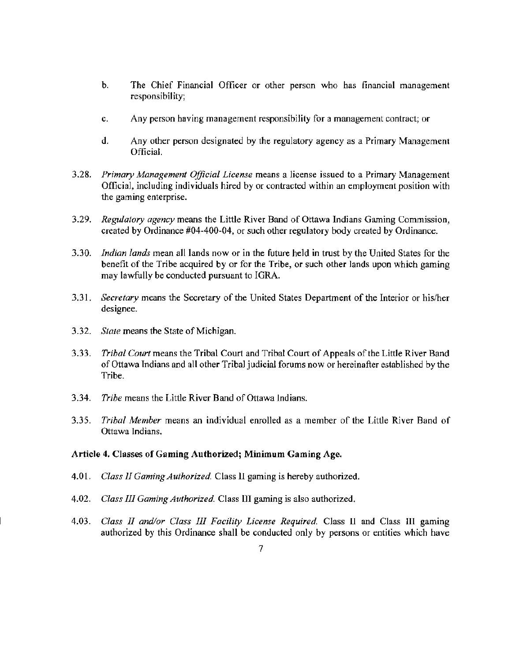- b. The Chief Financial Officer or other person who has financial management responsibility;
- c. Any person having management responsibility for a management contract; or
- d. Any other person designated by the regulatory agency as a Primary Management Official.
- 3.28. *Primary Management Official License* means a license issued to a Primary Management Official, including individuals hired by or contracted within an employment position with the gaming enterprise.
- 3.29. *Regulatory agency* means the Little River Band of Ottawa Indians Gaming Commission, created by Ordinance #04-400-04, or such other regulatory body created by Ordinance.
- 3.30. *Indian lands* mean all lands now or in the future held in trust by the United States for the benefit of the Tribe acquired by or for the Tribe, or such other lands upon which gaming may lawfully be conducted pursuant to IGRA.
- 3.31. *Secretary* means the Secretary of the United States Depattment of the Interior or his/her designee.
- 3.32. *Stale* means the State of Michigan.
- 3.33. *Tribal Court* means the Tribal Court and Tribal Court of Appeals of the Little River Band of Ottawa Indians and all other TribaJ judicial forums now or hereinafter established by the Tribe.
- 3.34. *Tribe* means the Little River Band of Ottawa Indians.
- 3.35. *Tribal Member* means an individual enrolled as a member of the Little River Band of Ottawa Indians.

#### Article 4. Classes of Gaming Authorized; Minimum Gaming Age.

- 4.01. *Class JI Gaming Authorized* Class 11 gaming is hereby authorized.
- 4.02. *Class 111 Gaming Authorized* Class Ill gaming is also authorized.
- 4.03. *Class II and/or Class* JI] *Facility License Required.* Class II and Class Ill gaming authorized by this Ordinance shall be conducted only by persons or entities which have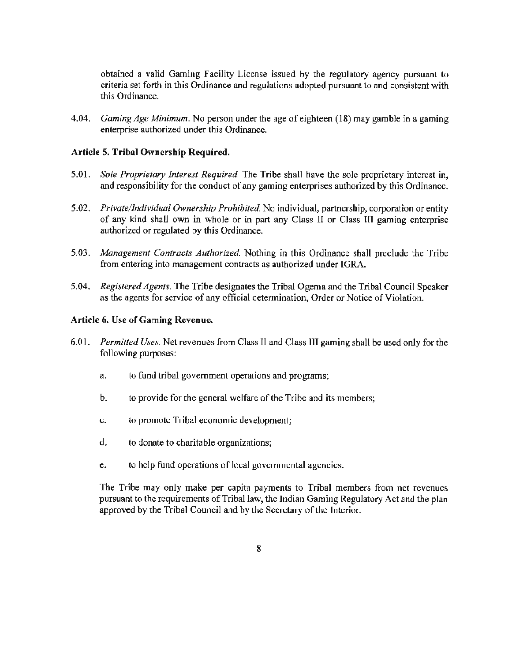obtained a valid Gaming Facility License issued by the regulatory agency pursuant to criteria set forth in this Ordinance and regulations adopted pursuant to and consistent with this Ordinance.

4.04. *Gaming Age Minimum.* No person under the age of eighteen (18) may gamble in a gaming enterprise authorized under this Ordinance.

#### Article 5. Tribal Ownership Required.

- 5.01. *Sole Proprietmy Interest Required.* The Tribe shall have the sole proprietary interest in, and responsibility for the conduct of any gaming enterprises authorized by this Ordinance.
- 5.02. *Private/Individual Ownership Prohibited.* No individual, partnership, corporation or entity of any kind shall own in whole or in part any Class II or Class Ill gaming enterprise authorized or regulated by this Ordinance.
- 5.03. *Management Contracts Authorized.* Nothing in this Ordinance shall preclude the Tribe from entering into management contracts as authorized under IGRA.
- 5.04. *Registered Agents.* The Tribe designates the Tribal Ogema and the Tribal Council Speaker as the agents for service of any official detennination, Order or Notice of Violation.

## Article 6. Use of Gaming Revenue.

- 6.0 I. *Permitted Uses.* Net revenues from Class II and Class III gaming shall be used only for the following purposes:
	- a. to fund tribal government operations and programs;
	- b. to provide for the general welfare of the Tribe and its members;
	- c. to promote Tribal economic development;
	- d. to donate to charitable organizations;
	- e. to help fund operations of local governmental agencies.

The Tribe may only make per capita payments to Tribal members from net revenues pursuant to the requirements of Tribal law, the Indian Gaming Regulatory Act and the plan approved by the Tribal Council and by the Secretary of the Interior.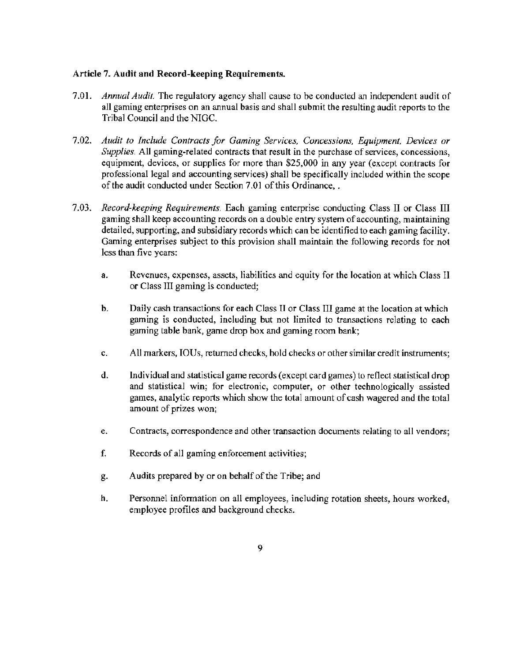## Article 7. Audit and Record-keeping Requirements.

- 7.01. *Annual Audit.* The regulatory agency shall cause to be conducted an independent audit of all gaming enterprises on an annual basis and shall submit the resulting audit reports to the Tribal Council and the NIGC.
- 7.02. *Audit to Include Contracts for Gaming Services, Concessions, Equipment, Devices or Supplies.* All gaming-related contracts that result in the purchase of services, concessions, equipment, devices, or supplies for more than \$25,000 in any year (except contracts for professional legal and accounting services) shall be specifically included within the scope of the audit conducted under Section 7.01 of this Ordinance,.
- 7.03. *Record-keeping Requirements.* Each gaming enterprise conducting Class II or Class III gaming shall keep accounting records on a double entry system of accounting, maintaining detailed, supporting, and subsidiary records which can be identified to each gaming facility. Gaming enterprises subject to this provision shall maintain the following records for not less than five years:
	- a. Revenues, expenses, assets, liabilities and equity for the location at which Class II or Class III gaming is conducted;
	- b. Daily cash transactions for each Class II or Class III game at the location at which gaming is conducted, including but not limited to transactions relating to each gaming table bank, game drop box and gaming room bank;
	- c. All markers, IOUs, returned checks, hold checks or other similar credit instruments;
	- d. Individual and statistical game records (except card games) to reflect statistical drop and statistical win; for electronic, computer, or other technologically assisted games, analytic reports which show the total amount of cash wagered and the total amount of prizes won;
	- e. Contracts, correspondence and other transaction documents relating to all vendors;
	- f. Records of all gaming enforcement activities;
	- g. Audits prepared by or on behalf of the Tribe; and
	- h. Personnel information on all employees, including rotation sheets, hours worked, employee profiles and background checks.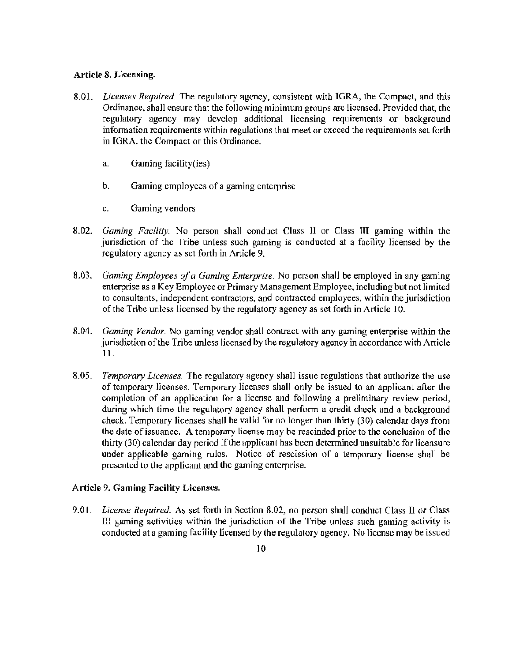## Article 8. Licensing.

- 8.01. *Licenses Required.* The regulatory agency, consistent with IGRA, the Compact, and this Ordinance, shall ensure that the following minimum groups are licensed. Provided that, the regulatory agency may develop additional licensing requirements or background information requirements within regulations that meet or exceed the requirements set forth in IGRA, the Compact or this Ordinance.
	- a. Gaming facility(ies)
	- b. Gaming employees of a gaming enterprise
	- c. Gaming vendors
- 8.02. *Gaming Facility.* No person shall conduct Class 11 or Class IJI gaming within the jurisdiction of the Tribe unless such gaming is conducted at a facility licensed by the regulatory agency as set forth in Article 9.
- 8.03. *Gaming Employees of a Gaming Enterprise.* No person shall be employed in any gaming enterprise as a Key Employee or Primary Management Employee, including but not limited to consultants, independent contractors, and contracted employees, within the jurisdiction of the Tribe unless licensed by the regulatory agency as set forth in Article 10.
- 8.04. *Gaming Vendor.* No gaming vendor shall contract with any gaming enterprise within the jurisdiction of the Tribe unless licensed by the regulatory agency in accordance with Article 11.
- 8.05. *Temporary Licenses.* The regulatory agency shall issue regulations that authorize the use of temporary licenses. Temporary licenses shall only be issued to an applicant after the completion of an application for a license and following a preliminary review period, during which time the regulatory agency shall perform a credit check and a background check. Temporary licenses shall be valid for no longer than thirty (30) calendar days from the date of issuance. A temporary license may be rescinded prior to the conclusion of the thirty (30) calendar day period if the applicant has been determined unsuitable for licensure under applicable gaming rules. Notice of rescission of a temporary license shall be presented to the applicant and the gaming enterprise.

## Article 9. Gaming Facility Licenses.

9.01. *License Required.* As set forth in Section 8.02, no person shall conduct Class Il or Class III gaming activities within the jurisdiction of the Tribe unless such gaming activity is conducted at a gaming facility licensed by the regulatory agency. No license may be issued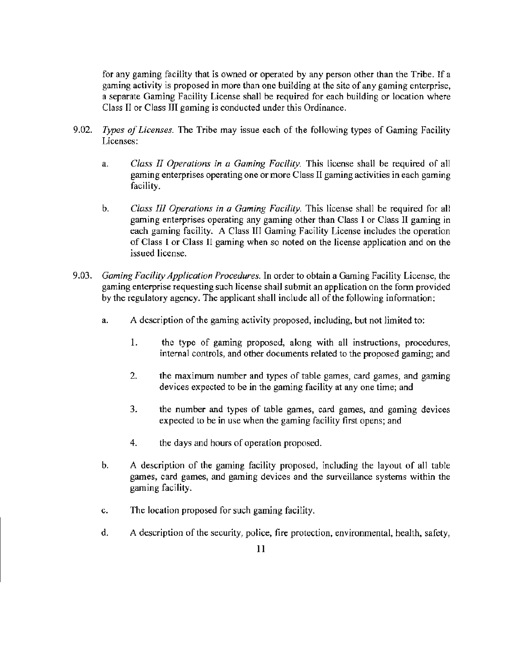for any gaming facility that is owned or operated by any person other than the Tribe. If a gaming activity is proposed in more than one building at the site of any gaming enterprise, a separate Gaming Facility License shall be required for each building or location where Class II or Class HI gaming is conducted under this Ordinance.

- 9.02. *Types of Licenses.* The Tribe may issue each of the following types of Gaming Facility Licenses:
	- a. *Class II Operations in a Gaming Facility.* This license shall be required of all gaming enterprises operating one or more Class II gaming activities in each gaming facility.
	- b. *Class Ill Operations in a Gaming Facility.* This license shall be required for all gaming enterprises operating any gaming other than Class I or Class II gaming in each gaming facility. A Class III Gaming Facility License includes the operation of Class **l** or Class II gaming when so noted on the license application and on the issued license.
- 9.03. *Gaming Facility Application Procedures.* In order to obtain a Gaming Facility License, the gaming enterprise requesting such license shall submit an application on the form provided by the regulatory agency. The applicant shall include all of the following infotmation:
	- a. A description of the gaming activity proposed, including, but not limited to:
		- 1. the type of gaming proposed, along with all instructions, procedures, internal controls, and other documents related to the proposed gaming; and
		- 2. the maximum number and types of table games, card games, and gaming devices expected to be in the gaming facility at any one time; and
		- 3. the number and types of table games, card games, and gaming devices expected to be in use when the gaming facility first opens; and
		- 4. the days and hours of operation proposed.
	- b. A description of the gaming facility proposed, including the layout of all table games, card games, and gaming devices and the surveillance systems within the gaming facility.
	- c. The location proposed for such gaming facility.
	- d. A description of the security, police, fire protection, environmental, health, safety,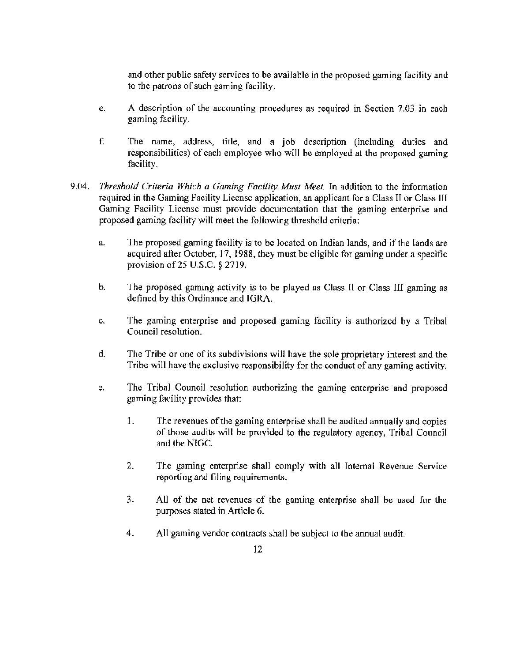and other public safety services to be available in the proposed gaming facility and to the patrons of such gaming facility.

- e. A description of the accounting procedures as required in Section 7.03 in each gaming facility.
- f. The name, address, title, and a job description (including duties and responsibilities) of each employee who will be employed at the proposed gaming facility.
- 9.04. *Threshold Criteria Which a Gaming Facility Must Meet.* In addition to the information required in the Gaming Facility License application, an applicant for a Class II or Class Ill Gaming Facility License must provide documentation that the gaming enterprise and proposed gaming facility will meet the following threshold criteria:
	- a. The proposed gaming facility is to be located on Indian lands, and if the lands are acquired after October, 17, 1988, they must be eligible for gaming under a specific provision of 25 U.S.C. *§* 2719.
	- b. The proposed gaming activity is to be played as Class IT or Class III gaming as defined by this Ordinance and JGRA.
	- c. The gaming enterprise and proposed gaming facility is authorized by a Tribal Council resolution.
	- d. The Tribe or one of its subdivisions will have the sole proprietary interest and the Tribe will have the exclusive responsibility for the conduct of any gaming activity.
	- e. The Tribal Council resolution authorizing the gaming enterprise and proposed gaming facility provides that:
		- I . The revenues of the gaming enterprise shall be audited annually and copies of those audits will be provided to the regulatory agency, Tribal Council and the NIGC.
		- 2. The gaming enterprise shall comply with all Internal Revenue Service reporting and filing requirements.
		- 3. All of the net revenues of the gaming enterprise shall be used for the purposes stated in Article 6.
		- 4. All gaming vendor contracts shall be subject to the annual audit.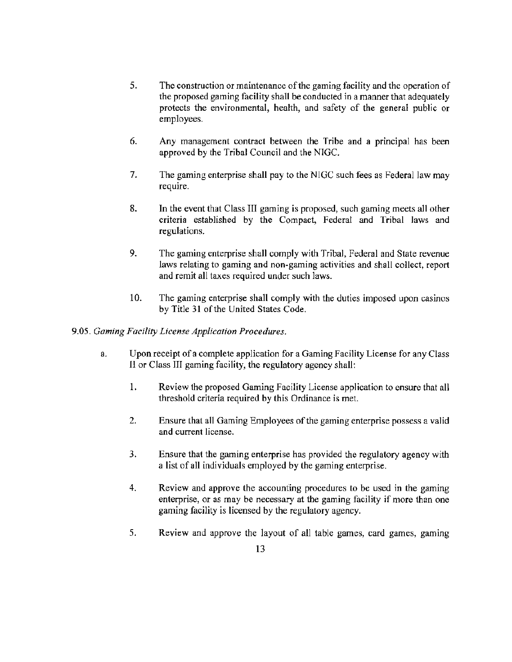- 5. The construction or maintenance of the gaming facility and the operation of the proposed gaming facility shall be conducted in a manner that adequately protects the environmental, health, and safety of the general public or employees.
- 6. Any management contract between the Tribe and a principal has been approved by the Tribal Council and the NIGC.
- 7. The gaming enterprise shall pay to the NIGC such fees as Federal law may require.
- 8. In the event that Class III gaming is proposed, such gaming meets all other criteria established by the Compact, Federal and Tribal laws and regulations.
- 9. The gaming enterprise shall comply with Tribal, Federal and State revenue laws relating to gaming and non-gaming activities and shall collect, report and remit all taxes required under such laws.
- 10. The gaming enterprise shall comply with the duties imposed upon casinos by Title 31 of the United States Code.

## 9.05. *Gaming Facility License Application Procedures.*

- a. Upon receipt of a complete application for a Gaming Facility License for any Class II or Class III gaming facility, the regulatory agency shall:
	- 1. Review the proposed Gaming Facility License application to ensure that all threshold criteria required by this Ordinance is met.
	- 2. Ensure that all Gaming Employees of the gaming enterprise possess a valid and current license.
	- 3. Ensure that the gaming enterprise has provided the regulatory agency with a list of all individuals employed by the gaming enterprise.
	- 4. Review and approve the accounting procedures to be used in the gaming enterprise, or as may be necessary at the gaming facility if more than one gaming facility is licensed by the regulatory agency.
	- 5. Review and approve the layout of all table games, card games, gaming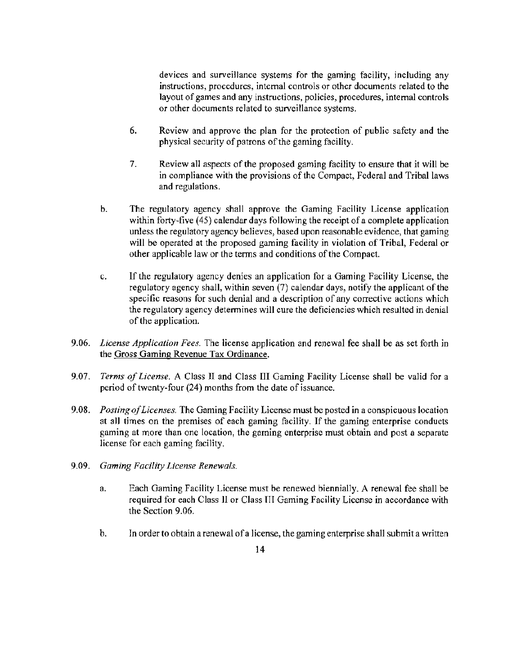devices and surveillance systems for the gaming facility, including any instructions, procedures, internal controls or other documents related to the layout of games and any instructions, policies, procedures, internal controls or other documents related to surveillance systems.

- 6. Review and approve the plan for the protection of public safety and the physical security of patrons of the gaming facility.
- 7. Review all aspects of the proposed gaming facility to ensure that it will be in compliance with the provisions of the Compact, Federal and Tribal Laws and regulations.
- b. The regulatory agency shall approve the Gaming Facility License application within forty-five (45) calendar days following the receipt of a complete application unless the regulatory agency believes, based upon reasonable evidence, that gaming will be operated at the proposed gaming facility in violation of Tribal, Federal or other applicable law or the terms and conditions of the Compact.
- c. If the regulatory agency denies an application for a Gaming Facility License, the regulatory agency shall, within seven (7) calendar days, notify the applicant of the specific reasons for such denial and a description of any corrective actions which the regulatory agency determines will cure the deficiencies which resulted in denial of the application.
- 9.06. *License Application Fees.* The license application and renewal fee shall be as set forth in the Gross Gaming Revenue Tax Ordinance.
- 9.07. *Terms of License.* A Class II and Class III Gaming Facility License shall be valid for a period of twenty-four (24) months from the date of issuance.
- 9.08. *Posting of Licenses.* The Gaming Facility License must be posted in a conspicuous location at all times on the premises of each gaming facility. If the gaming enterprise conducts gaming at more than one location, the gaming enterprise must obtain and post a separate license for each gaming facility.
- 9.09. *Gaming Facility License Renewals.* 
	- a. Each Gaming Facility License must be renewed biennially. A renewal fee shall be required for each Class JI or Class III Gaming Facility License in accordance with the Section 9.06.
	- b. In order to obtain a renewal of a license, the gaming enterprise shall submit a written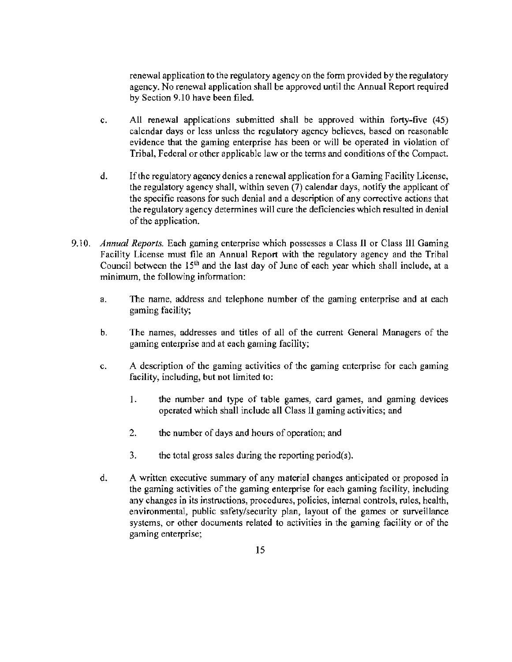renewal application to the regulatory agency on the fonn provided by the regulatory agency. No renewal application shall be approved until the Annual Report required by Section 9.10 have been filed.

- c. All renewal applications submitted shall be approved within forty-five (45) calendar days or less unless the regulatory agency believes, based on reasonable evidence that the gaming enterprise has been or will be operated in violation of Tribal, Federal or other applicable law or the terms and conditions of the Compact.
- d. If the regulatory agency denies a renewal application for a Gaming Facility License, the regulatory agency shall, within seven (7) calendar days, notify the applicant of the specific reasons for such denial and a description of any corrective actions that the regulatory agency determines will cure the deficiencies which resulted in denial of the application.
- 9.10. *Annual Reports.* Each gaming enterprise which possesses a Class JI or Class Ill Gaming Facility License must file an Annual Report with the regulatory agency and the Tribal Council between the  $15<sup>th</sup>$  and the last day of June of each year which shall include, at a minimum, the following information:
	- a. The name, address and telephone number of the gaming enterprise and at each gaming facility;
	- b. The names, addresses and titles of all of the current General Managers of the gaming enterprise and at each gaming facility;
	- c. A description of the gaming activities of the gaming enterprise for each gaming facility, including, but not limited to:
		- 1. the number and type of table games, card games, and gaming devices operated which shall include all Class 11 gaming activities; and
		- 2. the number of days and hours of operation; and
		- 3. the total gross sales during the reporting period(s).
	- d. A written executive summary of any material changes anticipated or proposed in the gaming activities of the gaming enterprise for each gaming facility, including any changes in its instructions, procedures, policies, intemal controls, rules, health, environmental, public safety/security plan, layout of the games or surveillance systems, or other documents related to activities in the gaming facility or of the gaming enterprise;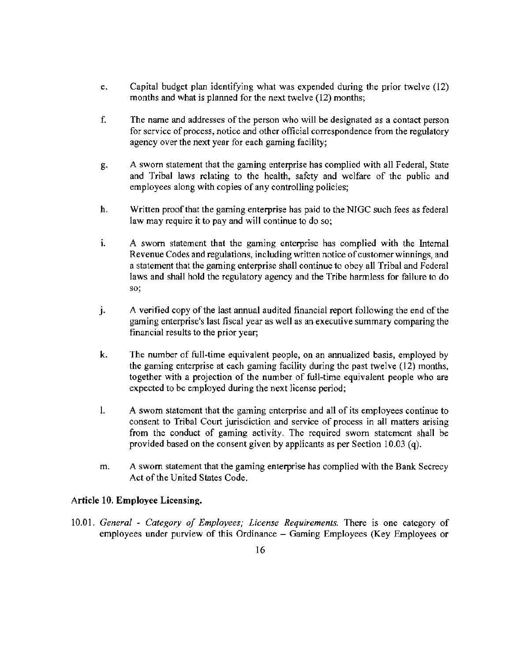- e. Capital budget plan identifying what was expended dming the prior twelve (12) months and what is planned for the next twelve (12) months;
- f. The name and addresses of the person who will be designated as a contact person for service of process, notice and other official correspondence from the regulatory agency over the next year for each gaming facility;
- g. A swom statement that the gaming enterprise has complied with all Federal, State and Tribal laws relating to the health, safety and welfare of the public and employees along with copies of any controlling policies;
- h. Written proof that the gaming enterprise has paid to the NIGC such fees as federal law may require it to pay and will continue to do so;
- 1. A sworn statement that the gaming enterprise has complied with the Internal Revenue Codes and regulations, including written notice of customer winnings, and a statement that the gaming enterprise shall continue to obey all Tribal and Federal laws and shall hold the regulatory agency and the Tribe harmless for failure to do so;
- J. A verified copy of the last annual audited financial report following the end of the gaming enterprise's last fiscal year as well as an executive summary comparing the financial results to the prior year;
- k. The number of full-time equivalent people, on an annualized basis, employed by the gaming enterprise at each gaming facility during the past twelve (12) months, together with a projection of the number of fuH-tirne equivalent people who are expected to be employed during the next license period;
- I. A sworn statement that the gaming enterprise and all of its employees continue to consent to Tribal Court jurisdiction and service of process in all matters arising from the conduct of gaming activity. The required sworn statement shall be provided based on the consent given by applicants as per Section 10.03 (q).
- m. A sworn statement that the gaming enterprise has complied with the Bank Secrecy Act of the United States Code.

## Article 10. Employee Licensing.

10.01. *General* - *Category of Employees; License Requirements.* There is one category of employees under purview of this Ordinance – Gaming Employees (Key Employees or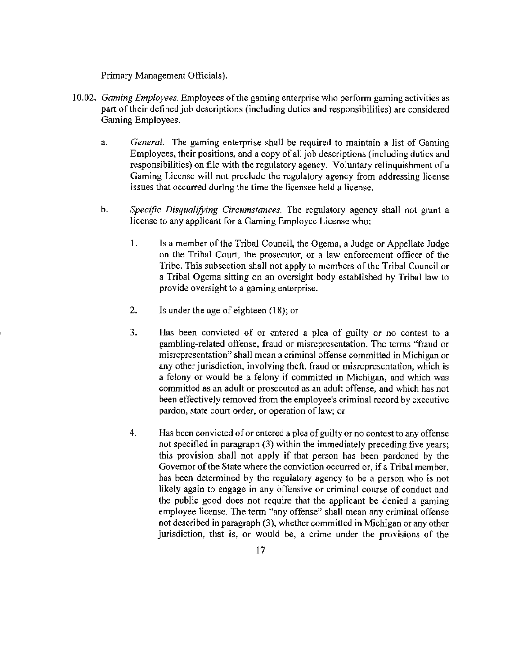Primary Management Officials).

- 10.02. *Gaming Employees*. Employees of the gaming enterprise who perform gaming activities as part of their defined job descriptions (including duties and responsibilities) are considered Gaming Employees.
	- a. *General.* The gaming enterprise shall be required to maintain a list of Gaming Employees, their positions, and a copy of all job descriptions (including duties and responsibilities) on file with the regulatory agency. VoJuntary relinquishment of a Gaming License will not preclude the regulatory agency from addressing license issues that occurred during the time the licensee held a license.
	- b. *Specific Disqualifying Circumstances*. The regulatory agency shall not grant a license to any applicant for a Gaming Employee License who:
		- 1. Is a member of the Tribal Council, the Ogema, a Judge or Appellate Judge on the Tribal Court, the prosecutor, or a law enforcement officer of the Tribe. This subsection shall not apply to members of the Tribal Council or a Tribal Ogema sitting on an oversight body established by Tribal law to provide oversight to a gaming enterprise.
		- 2. Is under the age of eighteen (18); or
		- 3. Has been convicted of or entered a plea of guilty or no contest to a gambling-related offense, fraud or misrepresentation. The terms "fraud or misrepresentation" shall mean a criminal offense committed in Michigan or any other jurisdiction, involving theft, fraud or misrepresentation, which is a felony or would be a felony if committed in Michigan, and which was committed as an adult or prosecuted as an adult offense, and which has not been effectively removed from the employee's criminal record by executive pardon, state court order, or operation of law; or
		- 4. Has been convicted of or entered a plea of guilty or no contest to any offense not specified in paragraph  $(3)$  within the immediately preceding five years; this provision shall not apply if that person has been pardoned by the Governor of the State where the conviction occurred or, if a Tribal member, has been determined by the regulatory agency to be a person who is not likely again to engage in any offensive or criminal course of conduct and the public good does not require that the applicant be denied a gaming employee license. The term "any offense" shall mean any criminal offense not described in paragraph (3), whether committed in Michigan or any other jurisdiction, that is, or would be, a crime under the provisions of the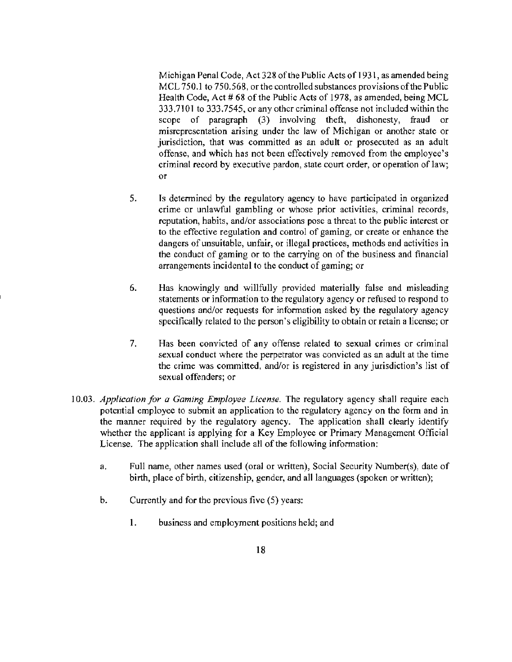Michigan Penal Code, Act 328 of the Public Acts of 1931, as amended being MCL 750.1 to 750.568, or the controlled substances provisions of the Public Health Code, Act # 68 of the Public Acts of 1978, as amended, being MCL 333.7101 to 333.7545, or any other criminal offense not included within the scope of paragraph (3) involving theft, dishonesty, fraud or misrepresentation arising under the law of Michigan or another state or jurisdiction, that was committed as an adult or prosecuted as an adult offense, and which has not been effectively removed from the employee's criminal record by executive pardon, state court order, or operation of law; or

- 5. Is detennined by the regulatory agency to have participated in organized crime or unlawful gambling or whose prior activities, criminal records, reputation, habits, and/or associations pose a threat to the public interest or to the effective regulation and control of gaming, or create or enhance the dangers of unsuitable, unfair, or illegal practices, methods and activities in the conduct of gaming or to the carrying on of the business and financial arrangements incidental to the conduct of gaming; or
- 6. Has knowingly and willfully provided materially false and misleading statements or information to the regulatory agency or refused to respond to questions and/or requests for information asked by the regulatory agency specifically related to the person's eligibility to obtain or retain a license; or
- 7. Has been convicted of any offense related to sexual crimes or criminal sexual conduct where the perpetrator was convicted as an adult at the time the crime was committed, and/or is registered in any jurisdiction's list of sexual offenders; or
- 10.03. *Application for a Gaming Employee License.* The regulatory agency shall require each potential employee to submit an application to the regulatory agency on the form and in the manner required by the regulatory agency. The application shall clearly identify whether the applicant is applying for a Key Employee or Primary Management Official License. The application shall include all of the following information:
	- a. Full name, other names used (oral or written), Social Security Number(s), date of birth, place of birth, citizenship, gender, and all languages (spoken or written);
	- b. Currently and for the previous five (5) years:
		- I. business and employment positions held; and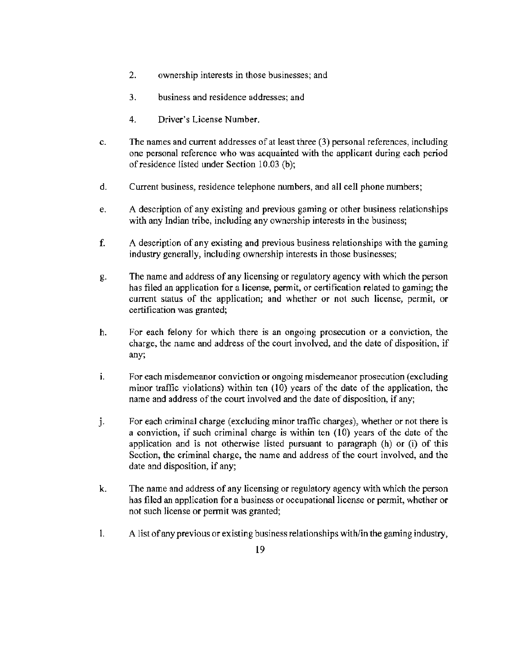- 2. ownership interests in those businesses; and
- 3. business and residence addresses; and
- 4. Driver's License Number.
- c. The names and current addresses of at least three (3) personal references, including one personal reference who was acquainted with the applicant during each period of residence listed under Section 10.03 (b);
- d. Current business, residence telephone numbers, and all cell phone numbers;
- e . A description of any existing and previous gaming or other business relationships with any Indian tribe, including any ownership interests in the business;
- f. A description of any existing and previous business relationships with the gaming industry generally, including ownership interests in those businesses;
- g. The name and address of any licensing or regulatory agency with which the person has filed an application for a license, permit, or certification related to gaming; the current status of the application; and whether or not such license, permit, or certification was granted;
- h. For each felony for which there is an ongoing prosecution or a conviction, the charge, the name and address of the court involved, and the date of disposition, if any;
- 1. For each misdemeanor conviction or ongoing misdemeanor prosecution (excluding minor traffic violations) within ten  $(10)$  years of the date of the application, the name and address of the court involved and the date of disposition, if any;
- j. For each criminal charge (excluding minor traffic charges), whether or not there is a conviction, if such criminal charge is within ten (10) years of the date of the application and is not otherwise listed pursuant to paragraph (h) or (i) of this Section, the criminal charge, the name and address of the court involved, and the date and disposition, if any;
- k. The name and address of any licensing or regulatory agency with which the person has filed an application for a business or occupational license or permit, whether or not such license or pennit was granted;
- I. A list of any previous or existing business relationships with/in the gaming industry,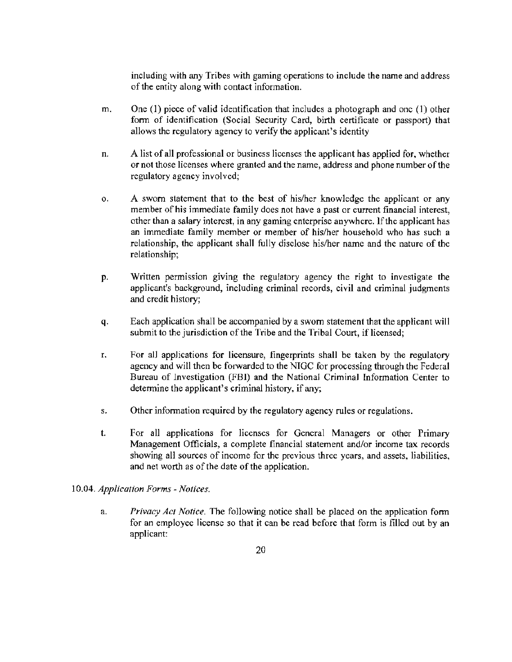including with any Tribes with gaming operations to include the name and address of the entity along with contact information.

- m. One (1) piece of valid identification that includes a photograph and one (1) other form of identification (Social Security Card, birth certificate or passport) that allows the regulatory agency to verify the applicant's identity
- n. A list of all professional or business licenses the applicant has applied for, whether or not those licenses where granted and the name, address and phone number of the regulatory agency involved;
- o. A sworn statement that to the best of his/her knowledge the applicant or any member of his immediate family does not have a past or current financial interest, other than a salary interest, in any gaming enterprise anywhere. If the applicant has an immediate family member or member of his/her household who has such a relationship, the applicant shall fully disclose his/her name and the nature of the relationship;
- p. Written permission giving the regulatory agency the right to investigate the applicant's background, including criminal records, civil and criminal judgments and credit history;
- q. Each application shall be accompanied by a sworn statement that the applicant will submit to the jurisdiction of the Tribe and the Tribal Court, if licensed;
- r. For all appJications for licensure, fingerprints shall be taken by the regulatory agency and will then be forwarded to the NIGC for processing through the Federal Bureau of Investigation (FBI) and the National Criminal Infonnation Center to determine the applicant's criminal history, if any;
- s. Other information required by the regulatory agency rules or regulations.
- t. For all applications for licenses for General Managers or other Primary Management Officials, a complete financial statement and/or income tax records showing all sources of income for the previous three years, and assets, liabilities, and net worth as of the date of the application.

## 10.04. *Application Forms* - *Notices.*

a. *Privacy Act Notice.* The following notice shall be placed on the application form for an employee license so that it can be read before that form is filled out by an applicant: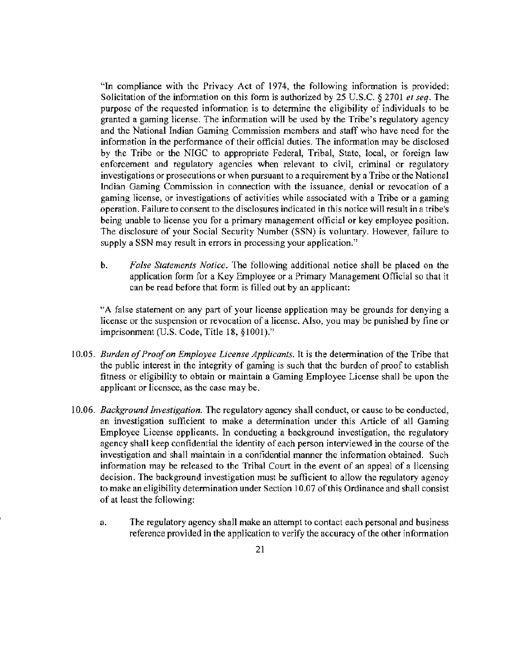"In compliance with the Privacy Act of 1974, the following information is provided: Solicitation of the information on this form is authorized by 25 U.S.C. § 2701 *et seq.* The purpose of the requested information is to detennine the eligibility of individuals to be granted a gaming license. The information will be used by the Tribe's regulatory agency and the National Indian Gaming Commission members and staff who have need for the information in the performance of their official duties. The information may be disclosed by the Tribe or the NIGC to appropriate Federal, Tribal, State, local, or foreign law enforcement and regulatory agencies when relevant to civil, criminal or regulatory investigations or prosecutions or when pursuant to a requirement by a Tribe or the National Indian Gaming Commission in connection with the issuance, denial or revocation of a gaming license, or investigations of activities while associated with a Tribe or a gaming operation. Failure to consent to the disclosures indicated in this notice will result in a tribe's being unable to license you for a primary management official or key employee position. The disclosure of your Social Security Number (SSN) is voluntary. However, failure to supply a SSN may result in errors in processing your application."

b. *False Statements Notice.* The following additional notice shall be placed on the application form for a Key Employee or a Primary Management Official so that it can be read before that form is filled out by an applicant:

"A false statement on any part of your license application may be grounds for denying a license or the suspension or revocation of a license. Also, you may be punished by fine or imprisonment (U.S. Code, Title 18, §1001)."

- 10.05. *Burden of Proof on Employee License Applicants.* It is the detetmination of the Tribe that the public interest in the integrity of gaming is such that the burden of proof to establish fitness or eligibility to obtain or maintain a Gaming Employee License shall be upon the applicant or licensee, as the case may be.
- 10.06. *Background Investigation.* The regulatory agency shall conduct, or cause to be conducted, an investigation sufficient to make a determination under this Article of all Gaming Employee License applicants. In conducting a background investigation, the regulatory agency shall keep confidential the identity of each person interviewed in the course of the investigation and shall maintain in a confidential manner the information obtained. Such information may be released to the Tribal Court in the event of an appeal of a licensing decision. The background investigation must be sufficient to allow the regulatory agency to make an eligibility determination under Section 10.07 of this Ordinance and shall consist of at least the following:
	- a. The regulatory agency shall make an attempt to contact each personal and business reference provided in the application to verify the accuracy of the other information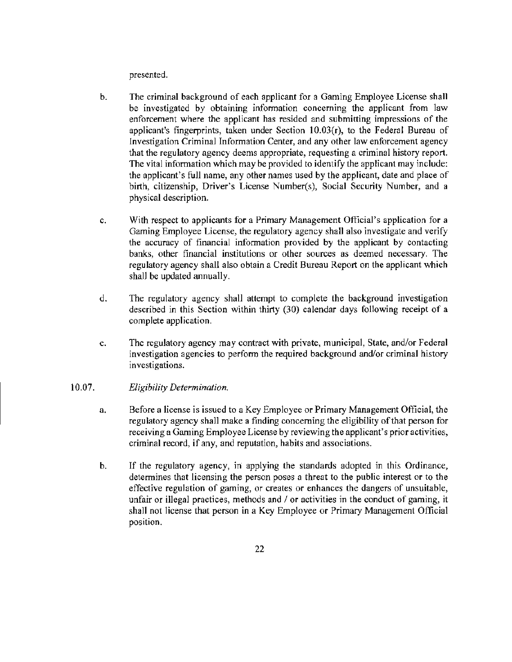presented.

- b. The criminal background of each applicant for a Gaming Employee License shall be investigated by obtaining infonnation concerning the applicant from law enforcement where the applicant has resided and submitting impressions of the applicant's fingerprints, taken under Section  $10.03(r)$ , to the Federal Bureau of Investigation Criminal Information Center, and any other law enforcement agency that the regulatory agency deems appropriate, requesting a criminal history report. The vital information which may be provided to identify the applicant may include: the applicant's full name, any other names used by the applicant, date and place of birth, citizenship, Driver's License Number(s), Social Security Number, and a physical description.
- c. With respect to applicants for a Primary Management Official's application for a Gaming Employee License, the regulatory agency shall also investigate and verify the accuracy of financial infonnation provided by the applicant by contacting banks, other financial institutions or other sources as deemed necessary. The regulatory agency shall also obtain a Credit Bureau Report on the applicant which shall be updated annually.
- d. The regulatory agency shall attempt to complete the background investigation described in this Section within thirty (30) calendar days following receipt of a complete application.
- e. The regulatory agency may contract with private, municipal, State, and/or Federal investigation agencies to perform the required background and/or criminal history investigations.

#### 10.07. *Eligibility Determination.*

- a. Before a license is issued to a Key Employee or Primary Management Official, the regulatory agency shall make a finding concerning the eligibility of that person for receiving a Gaming Employee License by reviewing the applicant's prior activities, criminal record, if any, and reputation, habits and associations.
- b. If the regulatory agency, in applying the standards adopted in this Ordinance, determines that licensing the person poses a threat to the public interest or to the effective regulation of gaming, or creates or enhances the dangers of unsuitable, unfair or illegal practices, methods and  $\ell$  or activities in the conduct of gaming, it shall not license that person in a Key Employee or Primary Management Official position.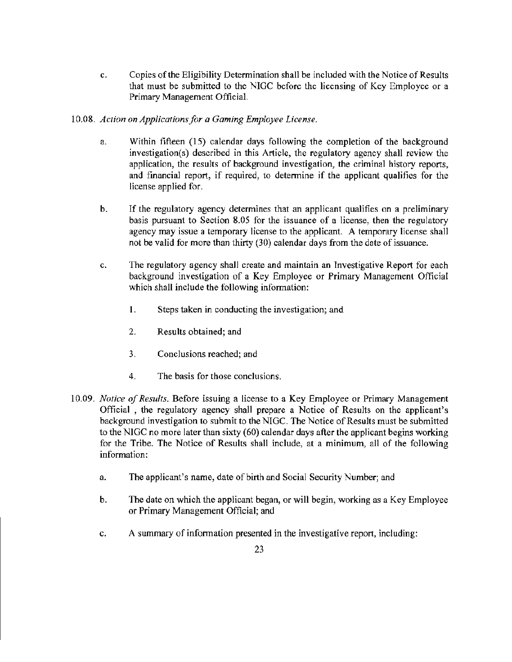c. Copies of the Eligibility Determination shall be included with the Notice of Results that must be submitted to the NIGC before the licensing of Key Employee or a Primary Management Official.

## 10.08. *Action on Applications for a Gaming Employee License.*

- a. Within fifteen (15) calendar days following the completion of the background investigation(s) described in this Article, the regulatory agency shall review the application, the results of background investigation, the criminal history reports, and financial report, if required, to determine if the applicant qualifies for the license applied for.
- b. If the regulatory agency determines that an applicant qualifies on a preliminary basis pursuant to Section 8.05 for the issuance of a license, then the regulatory agency may issue a temporary license to the applicant. A temporary license shall not be valid for more than thirty (30) calendar days from the date of issuance.
- c. The regulatory agency shall create and maintain an Investigative Report for each background investigation of a Key Employee or Primary Management Official which shall include the following information:
	- I. Steps taken in conducting the investigation; and
	- 2. Results obtained; and
	- 3. Conclusions reached; and
	- 4. The basis for those conclusions.
- 10.09. *Notice of Results.* Before issuing a license to a Key Employee or Primary Management Official , the regulatory agency shall prepare a Notice of Results on the applicant's background investigation to submit to the NIGC. The Notice of Results must be submitted to the NJGC no more later than sixty (60) calendar days after the applicant begins working for the Tribe. The Notice of Results shall include, at a minimum, all of the following information:
	- a. The applicant's name, date of birth and Social Security Number; and
	- b. The date on which the applicant began, or will begin, working as a Key Employee or Primary Management Official; and
	- c. A summary of information presented in the investigative report, including: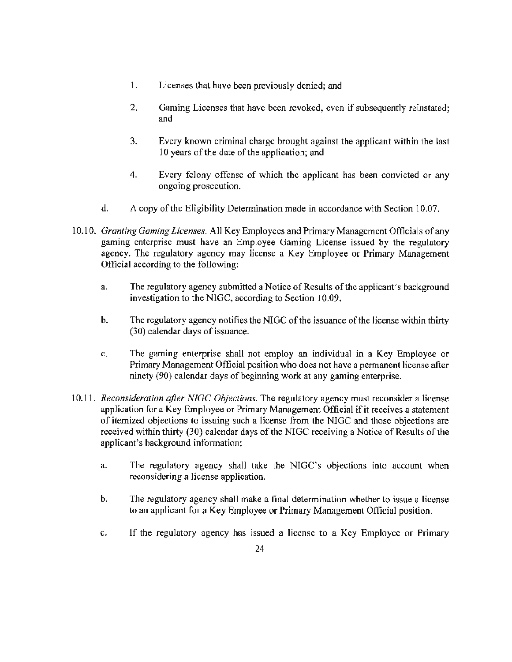- 1. Licenses that have been previously denied; and
- 2. Gaming Licenses that have been revoked, even if subsequently reinstated; and
- 3. Every known criminal charge brought against the applicant within the last 10 years of the date of the application; and
- 4. Every felony offense of which the applicant has been convicted or any ongoing prosecution.
- d. A copy of the Eligibility Detennination made in accordance with Section 10.07.
- 10.10. *Granting Gaming Licenses.* All Key Employees and Primary Management Officials of any gaming enterprise must have an Employee Gaming License issued by the regulatory agency. The regulatory agency may license a Key Employee or Primary Management Official according to the following:
	- a. The regulatory agency submitted a Notice of Results of the applicant's background investigation to the NIGC, according to Section 10.09.
	- b. The regulatory agency notifies the NIGC of the issuance of the license within thirty (30) calendar days of issuance.
	- c. The gaming enterprise shall not employ an individual in a Key Employee or Primary Management Official position who does not have a pennanent license after ninety (90) calendar days of beginning work at any gaming enterprise.
- 10.11. *Reconsideration qfter NIGC Objections.* The regulatory agency must reconsider a license application for a Key Employee or Primary Management Official if it receives a statement of itemized objections to issuing such a license from the NIGC and those objections are received within thirty (30) calendar days of the NIGC receiving a Notice of Results of the applicant's background information;
	- a. The regulatory agency shall take the NIGC's objections into account when reconsidering a license application.
	- b. The regulatory agency shall make a final determination whether to issue a license to an applicant for a Key Employee or Primary Management Official position.
	- c. lf the regulatory agency has issued a license to a Key Employee or Primary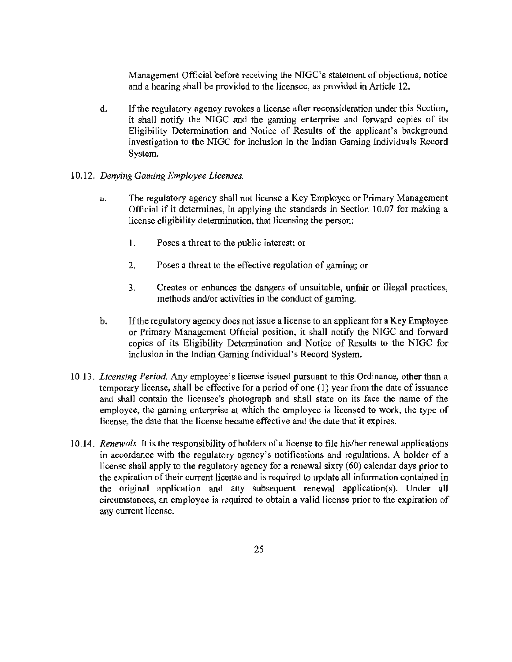Management Official before receiving the NIGC's statement of objections, notice and a hearing shall be provided to the licensee, as provided in Article 12.

d. If the regulatory agency revokes a license after reconsideration under this Section, it shall notify the NIGC and the gaming enterprise and forward copies of its Eligibility Determination and Notice of Results of the applicant's background investigation to the NIGC for inclusion in the Indian Gaming Individuals Record System.

#### 10.12. *Denying Gaming Employee Licenses.*

- a. The regulatory agency shall not license a Key Employee or Primary Management Official if it determines, in applying the standards in Section 10.07 for making a license eligibility determination, that licensing the person:
	- 1. Poses a threat to the public interest; or
	- 2. Poses a threat to the effective regulation of gaming; or
	- 3. Creates or enhances the dangers of unsuitable, unfair or illegal practices, methods and/or activities in the conduct of gaming.
- b. If the regulatory agency does not issue a license to an applicant for a Key Employee or Primary Management Official position, it shall notify the NIGC and forward copies of its Eligibility Determination and Notice of Results to the NIGC for inclusion in the Indian Gaming Individual's Record System.
- 10.13. *Licensing Period.* Any employee's license issued pursuant to this Ordinance, other than a temporary license, shall be effective for a period of one (1) year from the date of issuance and shall contain the licensee's photograph and shall state on its face the name of the emp]oyee, the gaming enterprise at which the employee is licensed to work, the type of license, the date that the license became effective and the date that it expires.
- 10.14. *Renewals.* It is the responsibility of holders of a license to file his/her renewal applications in accordance with the regulatory agency's notifications and reguJations. A holder of a license shall apply to the regulatory agency for a renewaJ sixty (60) calendar days prior to the expiration of their current license and is required to update all information contained in the original application and any subsequent renewal application(s). Under all circumstances, an employee is required to obtain a valid license prior to the expiration of any current license.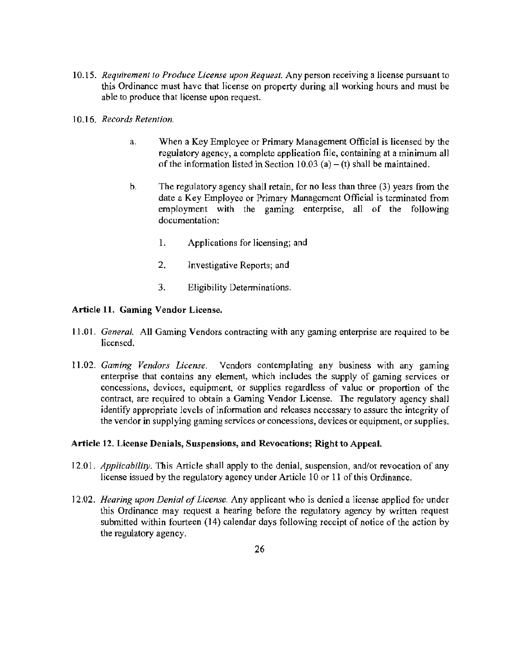- 10.15. *Requirement to Produce License upon Request.* Any person receiving a license pursuant to this Ordinance must have that Jicense on property during all working hours and must be able to produce that license upon request.
- 10.16. *Records Retention.* 
	- a. When a Key Employee or Primary Management Official is licensed by the regulatory agency, a complete application file, containing at a minimum all of the information listed in Section 10.03 (a) – (t) shall be maintained.
	- b. The regulatory agency shall retain, for no less than three (3) years from the date a Key Employee or Primary Management Official is terminated from employment with the gaming enterprise, all of the following documentation:
		- 1. Applications for licensing; and
		- 2. Investigative Reports; and
		- 3. Eligibility Determinations.

#### Article 11. Gaming Vendor License.

- 11 .01. *General.* All Gaming Vendors contracting with any gaming enterprise are required to be licensed.
- 11.02. *Gaming Vendors License.* Vendors contemplating any business with any gaming enterprise that contains any element, which includes the supply of gaming services or concessions, devices, equipment, or supplies regardless of value or proportion of the contract, are required to obtain a Gaming Vendor License. The regulatory agency shall identify appropriate levels of information and releases necessary to assure the integrity of the vendor in supplying gaming services or concessions, devices or equipment, or supplies.

#### Article 12. License Denials, Suspensions, and Revocations; Right to Appeal.

- 12.01. *Applicability.* This Article shall apply to the denial, suspension, and/or revocation of any license issued by the regulatory agency under Article 10 or 11 of this Ordinance.
- 12.02. *Hearing upon Denial of License.* Any applicant who is denied a license applied for under this Ordinance may request a hearing before the regulatory agency by written request submitted within fourteen (14) calendar days following receipt of notice of the action by the regulatory agency.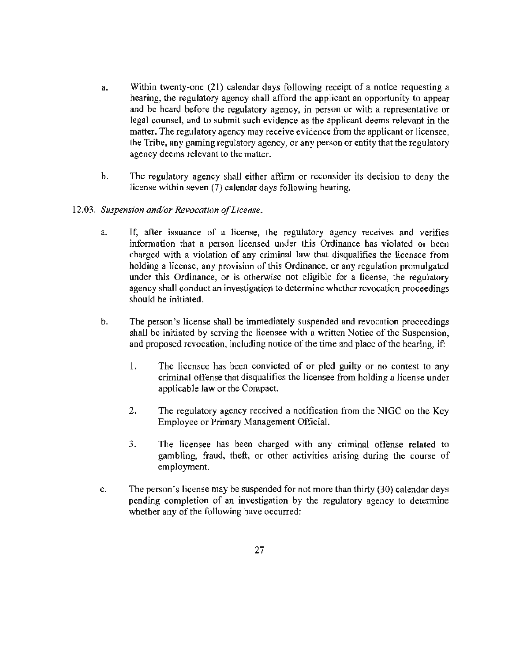- a. Within twenty-one (21) calendar days following receipt of a notice requesting a hearing, the regulatory agency shall afford the applicant an opportunity to appear and be heard before the regulatory agency, in person or with a representative or legal counsel, and to submit such evidence as the applicant deems relevant in the matter. The regulatory agency may receive evidence from the applicant or licensee, the Tribe, any gaming regulatory agency, or any person or entity that the regulatory agency deems relevant to the matter.
- b. The regulatory agency shall either affirm or reconsider its decision to deny the license within seven (7) calendar days following hearing.
- 12.03. *Suspension and/or Revocation qf License.* 
	- a. If, after issuance of a license, the regulatory agency receives and verifies information that a person licensed under this Ordinance has violated or been charged with a violation of any criminal law that disqualifies the licensee from holding a license, any provision of this Ordinance, or any regulation promulgated under this Ordinance, or is otherwise not eligible for a license, the regulatory agency shall conduct an investigation to determine whether revocation proceedings should be initiated.
	- b. The person's license shall be immediately suspended and revocation proceedings shall be initiated by serving the licensee with a written Notice of the Suspension, and proposed revocation, including notice of the time and place of the hearing, if:
		- 1. The licensee has been convicted of or pied guilty or no contest to any criminal offense that disqualifies the licensee from holding a license under applicable law or the Compact.
		- 2. The regulatory agency received a notification from the NIGC on the Key Employee or Primary Management Official.
		- 3. The licensee has been charged with any criminal offense related to gambling, fraud, theft, or other activities arising during the course of employment.
	- c. The person's license may be suspended for not more than thirty (30) calendar days pending completion of an investigation by the regulatory agency to determine whether any of the following have occurred: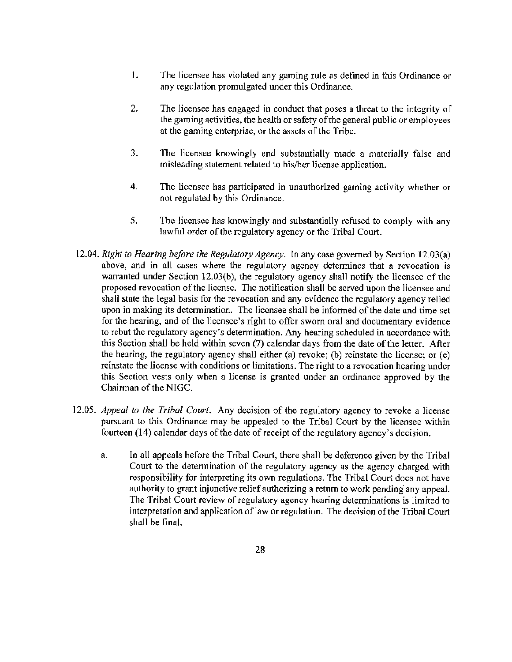- 1. The licensee has violated any gaming rule as defined in this Ordinance or any regulation promulgated under this Ordinance.
- 2. The licensee has engaged in conduct that poses a threat to the integrity of the gaming activities, the health or safety of the general public or employees at the gaming enterprise, or the assets of the Tribe.
- 3. The licensee knowingly and substantially made a materially false and misleading statement related to his/her license application.
- 4. The licensee has participated in unauthorized gaming activity whether or not regulated by this Ordinance.
- 5. The licensee has knowingly and substantially refused to comply with any lawful order of the regulatory agency or the Tribal Court.
- 12.04. *Right to Hearing before the Regulatory Agency.* In any case governed by Section 12.03(a) above, and in all cases where the regulatory agency detennines that a revocation is warranted under Section 12.03(b), the regulatory agency shall notify the licensee of the proposed revocation of the license. The notification shall be served upon the licensee and shall state the legal basis for the revocation and any evidence the regulatory agency relied upon in making its determination. The licensee shall be informed of the date and time set for the hearing, and of the licensee's right to offer sworn oral and documentary evidence to rebut the regulatory agency's determination. Any hearing scheduled in accordance with this Section shall be held within seven (7) calendar days from the date of the letter. After the hearing, the regulatory agency shall either (a) revoke; (b) reinstate the license; or (c) reinstate the license with conditions or limitations. The right to a revocation hearing under this Section vests only when a license is granted under an ordinance approved by the Chairman of the NIGC.
- 12.05. *Appeal to the Tribal Court.* Any decision of the regulatory agency to revoke a license pursuant to this Ordinance may be appealed to the Tribal Court by the licensee within fourteen (14) calendar days of the date of receipt of the regulatory agency's decision.
	- a. In all appeals before the Tribal Court, there shall be deference given by the Tribal Court to the determination of the regulatory agency as the agency charged with responsibility for interpreting its own regulations. The Tribal Court does not have authority to grant injunctive relief authorizing a return to work pending any appeal. The Tribal Court review of regulatory agency hearing detenninations is limited to interpretation and application of law or regulation. The decision of the Tribal Court shall be final.